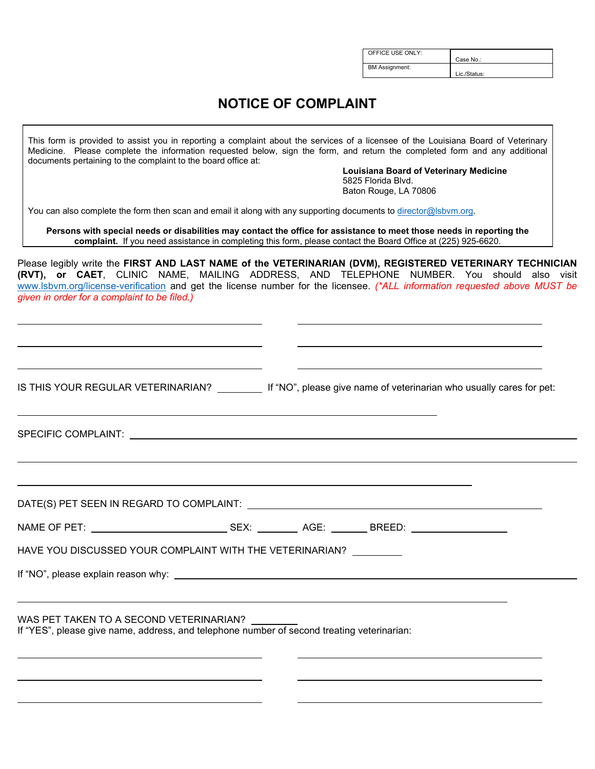| OFFICE USE ONLY:      |              |
|-----------------------|--------------|
|                       |              |
|                       |              |
|                       | Case No.:    |
|                       |              |
|                       |              |
| <b>BM Assignment:</b> |              |
|                       |              |
|                       | Lic./Status: |
|                       |              |

## **NOTICE OF COMPLAINT**

| documents pertaining to the complaint to the board office at:                                                                         |                                                                                                                  | This form is provided to assist you in reporting a complaint about the services of a licensee of the Louisiana Board of Veterinary<br>Medicine. Please complete the information requested below, sign the form, and return the completed form and any additional<br><b>Louisiana Board of Veterinary Medicine</b><br>5825 Florida Blvd.<br>Baton Rouge, LA 70806 |
|---------------------------------------------------------------------------------------------------------------------------------------|------------------------------------------------------------------------------------------------------------------|------------------------------------------------------------------------------------------------------------------------------------------------------------------------------------------------------------------------------------------------------------------------------------------------------------------------------------------------------------------|
|                                                                                                                                       | You can also complete the form then scan and email it along with any supporting documents to director@lsbvm.org. |                                                                                                                                                                                                                                                                                                                                                                  |
|                                                                                                                                       |                                                                                                                  | Persons with special needs or disabilities may contact the office for assistance to meet those needs in reporting the<br>complaint. If you need assistance in completing this form, please contact the Board Office at (225) 925-6620.                                                                                                                           |
| given in order for a complaint to be filed.)                                                                                          |                                                                                                                  | Please legibly write the FIRST AND LAST NAME of the VETERINARIAN (DVM), REGISTERED VETERINARY TECHNICIAN<br>(RVT), or CAET, CLINIC NAME, MAILING ADDRESS, AND TELEPHONE NUMBER. You should also visit<br>www.lsbvm.org/license-verification and get the license number for the licensee. (*ALL information requested above MUST be                               |
|                                                                                                                                       |                                                                                                                  |                                                                                                                                                                                                                                                                                                                                                                  |
|                                                                                                                                       |                                                                                                                  | IS THIS YOUR REGULAR VETERINARIAN? If "NO", please give name of veterinarian who usually cares for pet:                                                                                                                                                                                                                                                          |
|                                                                                                                                       |                                                                                                                  |                                                                                                                                                                                                                                                                                                                                                                  |
|                                                                                                                                       |                                                                                                                  |                                                                                                                                                                                                                                                                                                                                                                  |
|                                                                                                                                       |                                                                                                                  |                                                                                                                                                                                                                                                                                                                                                                  |
| HAVE YOU DISCUSSED YOUR COMPLAINT WITH THE VETERINARIAN?                                                                              |                                                                                                                  |                                                                                                                                                                                                                                                                                                                                                                  |
|                                                                                                                                       |                                                                                                                  |                                                                                                                                                                                                                                                                                                                                                                  |
| WAS PET TAKEN TO A SECOND VETERINARIAN?<br>If "YES", please give name, address, and telephone number of second treating veterinarian: |                                                                                                                  |                                                                                                                                                                                                                                                                                                                                                                  |
|                                                                                                                                       |                                                                                                                  |                                                                                                                                                                                                                                                                                                                                                                  |